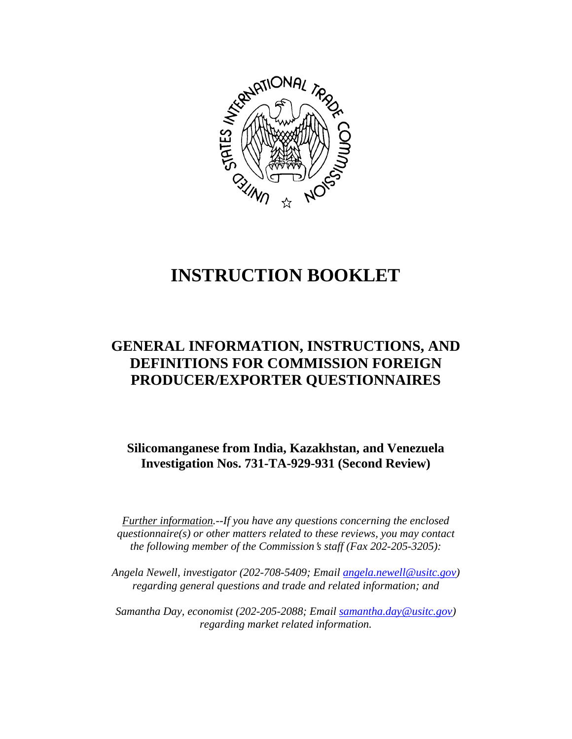

# **INSTRUCTION BOOKLET**

# **GENERAL INFORMATION, INSTRUCTIONS, AND DEFINITIONS FOR COMMISSION FOREIGN PRODUCER/EXPORTER QUESTIONNAIRES**

**Silicomanganese from India, Kazakhstan, and Venezuela Investigation Nos. 731-TA-929-931 (Second Review)**

*Further information.--If you have any questions concerning the enclosed questionnaire(s) or other matters related to these reviews, you may contact the following member of the Commission's staff (Fax 202-205-3205):* 

*Angela Newell, investigator (202-708-5409; Email angela.newell@usitc.gov) regarding general questions and trade and related information; and* 

 *Samantha Day, economist (202-205-2088; Email samantha.day@usitc.gov) regarding market related information.*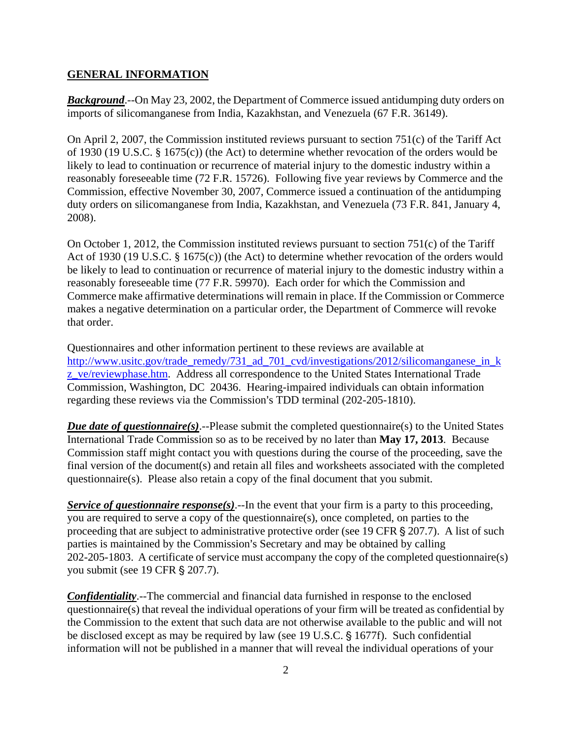#### **GENERAL INFORMATION**

*Background*.--On May 23, 2002, the Department of Commerce issued antidumping duty orders on imports of silicomanganese from India, Kazakhstan, and Venezuela (67 F.R. 36149).

On April 2, 2007, the Commission instituted reviews pursuant to section 751(c) of the Tariff Act of 1930 (19 U.S.C. § 1675(c)) (the Act) to determine whether revocation of the orders would be likely to lead to continuation or recurrence of material injury to the domestic industry within a reasonably foreseeable time (72 F.R. 15726). Following five year reviews by Commerce and the Commission, effective November 30, 2007, Commerce issued a continuation of the antidumping duty orders on silicomanganese from India, Kazakhstan, and Venezuela (73 F.R. 841, January 4, 2008).

On October 1, 2012, the Commission instituted reviews pursuant to section 751(c) of the Tariff Act of 1930 (19 U.S.C. § 1675(c)) (the Act) to determine whether revocation of the orders would be likely to lead to continuation or recurrence of material injury to the domestic industry within a reasonably foreseeable time (77 F.R. 59970). Each order for which the Commission and Commerce make affirmative determinations will remain in place. If the Commission or Commerce makes a negative determination on a particular order, the Department of Commerce will revoke that order.

Questionnaires and other information pertinent to these reviews are available at http://www.usitc.gov/trade\_remedy/731\_ad\_701\_cvd/investigations/2012/silicomanganese\_in\_k z\_ve/reviewphase.htm. Address all correspondence to the United States International Trade Commission, Washington, DC 20436. Hearing-impaired individuals can obtain information regarding these reviews via the Commission's TDD terminal (202-205-1810).

*Due date of questionnaire(s).*--Please submit the completed questionnaire(s) to the United States International Trade Commission so as to be received by no later than **May 17, 2013**. Because Commission staff might contact you with questions during the course of the proceeding, save the final version of the document(s) and retain all files and worksheets associated with the completed questionnaire(s). Please also retain a copy of the final document that you submit.

*Service of questionnaire response(s)*.--In the event that your firm is a party to this proceeding, you are required to serve a copy of the questionnaire(s), once completed, on parties to the proceeding that are subject to administrative protective order (see 19 CFR  $\S 207.7$ ). A list of such parties is maintained by the Commission's Secretary and may be obtained by calling 202-205-1803. A certificate of service must accompany the copy of the completed questionnaire(s) you submit (see 19 CFR § 207.7).

*Confidentiality*.--The commercial and financial data furnished in response to the enclosed questionnaire(s) that reveal the individual operations of your firm will be treated as confidential by the Commission to the extent that such data are not otherwise available to the public and will not be disclosed except as may be required by law (see 19 U.S.C. § 1677f). Such confidential information will not be published in a manner that will reveal the individual operations of your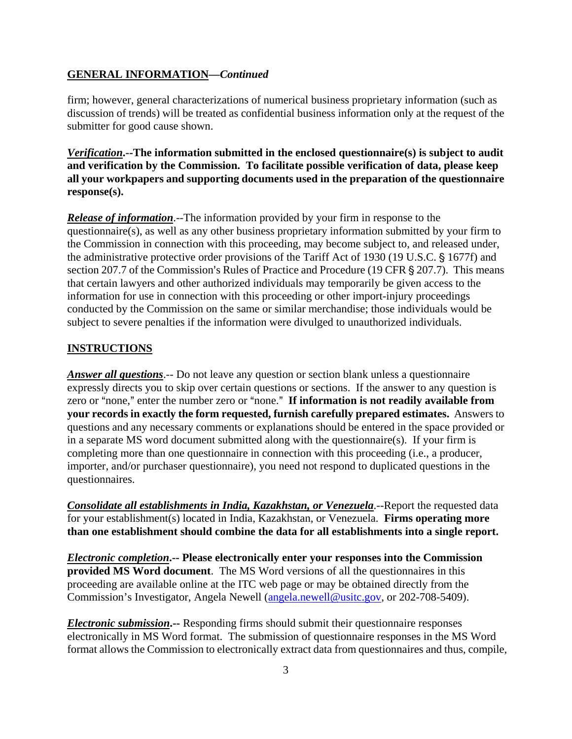#### **GENERAL INFORMATION—***Continued*

firm; however, general characterizations of numerical business proprietary information (such as discussion of trends) will be treated as confidential business information only at the request of the submitter for good cause shown.

*Verification***.--The information submitted in the enclosed questionnaire(s) is subject to audit and verification by the Commission. To facilitate possible verification of data, please keep all your workpapers and supporting documents used in the preparation of the questionnaire response(s).**

*Release of information*.--The information provided by your firm in response to the questionnaire(s), as well as any other business proprietary information submitted by your firm to the Commission in connection with this proceeding, may become subject to, and released under, the administrative protective order provisions of the Tariff Act of 1930 (19 U.S.C. § 1677f) and section 207.7 of the Commission's Rules of Practice and Procedure (19 CFR § 207.7). This means that certain lawyers and other authorized individuals may temporarily be given access to the information for use in connection with this proceeding or other import-injury proceedings conducted by the Commission on the same or similar merchandise; those individuals would be subject to severe penalties if the information were divulged to unauthorized individuals.

#### **INSTRUCTIONS**

*Answer all questions*.-- Do not leave any question or section blank unless a questionnaire expressly directs you to skip over certain questions or sections. If the answer to any question is zero or "none," enter the number zero or "none." If information is not readily available from **your records in exactly the form requested, furnish carefully prepared estimates.** Answers to questions and any necessary comments or explanations should be entered in the space provided or in a separate MS word document submitted along with the questionnaire(s). If your firm is completing more than one questionnaire in connection with this proceeding (i.e., a producer, importer, and/or purchaser questionnaire), you need not respond to duplicated questions in the questionnaires.

*Consolidate all establishments in India, Kazakhstan, or Venezuela*.--Report the requested data for your establishment(s) located in India, Kazakhstan, or Venezuela. **Firms operating more than one establishment should combine the data for all establishments into a single report.** 

*Electronic completion***.-- Please electronically enter your responses into the Commission provided MS Word document**. The MS Word versions of all the questionnaires in this proceeding are available online at the ITC web page or may be obtained directly from the Commission's Investigator, Angela Newell (angela.newell@usitc.gov, or 202-708-5409).

*Electronic submission***.--** Responding firms should submit their questionnaire responses electronically in MS Word format. The submission of questionnaire responses in the MS Word format allows the Commission to electronically extract data from questionnaires and thus, compile,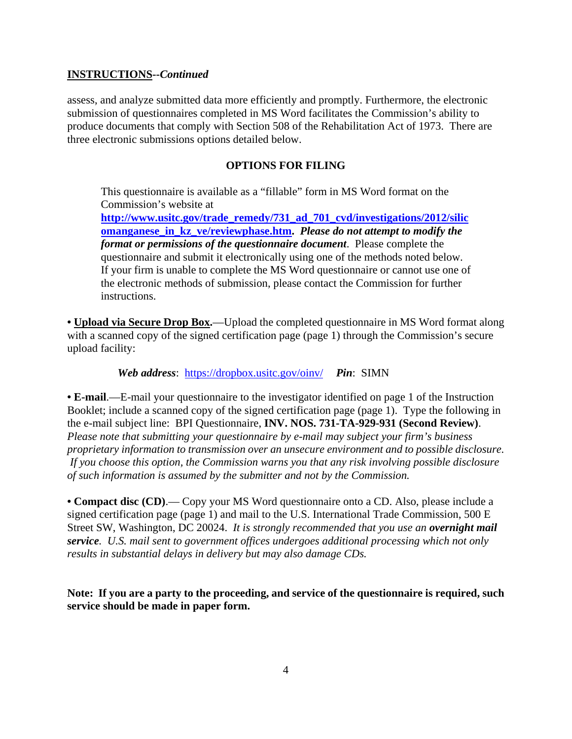### **INSTRUCTIONS--***Continued*

assess, and analyze submitted data more efficiently and promptly. Furthermore, the electronic submission of questionnaires completed in MS Word facilitates the Commission's ability to produce documents that comply with Section 508 of the Rehabilitation Act of 1973. There are three electronic submissions options detailed below.

#### **OPTIONS FOR FILING**

This questionnaire is available as a "fillable" form in MS Word format on the Commission's website at

**http://www.usitc.gov/trade\_remedy/731\_ad\_701\_cvd/investigations/2012/silic omanganese\_in\_kz\_ve/reviewphase.htm.** *Please do not attempt to modify the format or permissions of the questionnaire document*. Please complete the questionnaire and submit it electronically using one of the methods noted below. If your firm is unable to complete the MS Word questionnaire or cannot use one of the electronic methods of submission, please contact the Commission for further instructions.

• **Upload via Secure Drop Box.**—Upload the completed questionnaire in MS Word format along with a scanned copy of the signed certification page (page 1) through the Commission's secure upload facility:

*Web address*: https://dropbox.usitc.gov/oinv/ *Pin*: SIMN

**• E-mail**.—E-mail your questionnaire to the investigator identified on page 1 of the Instruction Booklet; include a scanned copy of the signed certification page (page 1). Type the following in the e-mail subject line: BPI Questionnaire, **INV. NOS. 731-TA-929-931 (Second Review)**. *Please note that submitting your questionnaire by e-mail may subject your firm's business proprietary information to transmission over an unsecure environment and to possible disclosure. If you choose this option, the Commission warns you that any risk involving possible disclosure of such information is assumed by the submitter and not by the Commission.* 

**• Compact disc (CD)**.— Copy your MS Word questionnaire onto a CD. Also, please include a signed certification page (page 1) and mail to the U.S. International Trade Commission, 500 E Street SW, Washington, DC 20024. *It is strongly recommended that you use an overnight mail service. U.S. mail sent to government offices undergoes additional processing which not only results in substantial delays in delivery but may also damage CDs.* 

**Note: If you are a party to the proceeding, and service of the questionnaire is required, such service should be made in paper form.**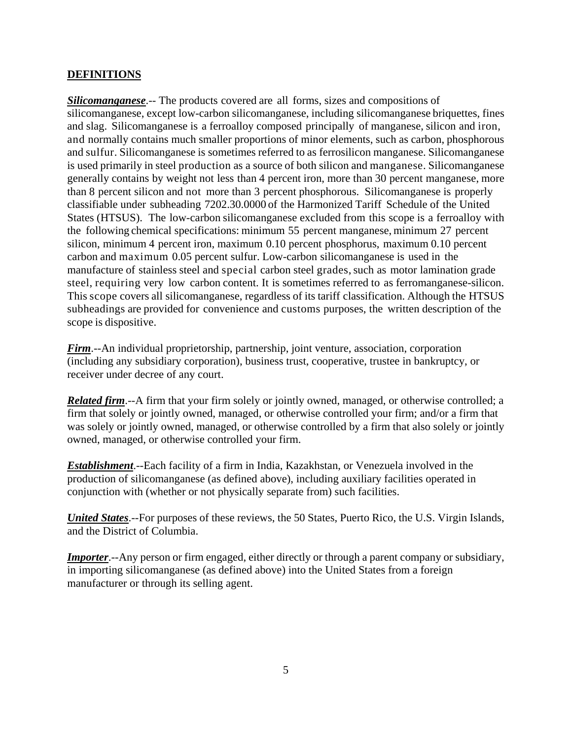## **DEFINITIONS**

*Silicomanganese*.-- The products covered are all forms, sizes and compositions of silicomanganese, except low-carbon silicomanganese, including silicomanganese briquettes, fines and slag. Silicomanganese is a ferroalloy composed principally of manganese, silicon and iron, and normally contains much smaller proportions of minor elements, such as carbon, phosphorous and sulfur. Silicomanganese is sometimes referred to as ferrosilicon manganese. Silicomanganese is used primarily in steel production as a source of both silicon and manganese. Silicomanganese generally contains by weight not less than 4 percent iron, more than 30 percent manganese, more than 8 percent silicon and not more than 3 percent phosphorous. Silicomanganese is properly classifiable under subheading 7202.30.0000 of the Harmonized Tariff Schedule of the United States (HTSUS). The low-carbon silicomanganese excluded from this scope is a ferroalloy with the following chemical specifications: minimum 55 percent manganese, minimum 27 percent silicon, minimum 4 percent iron, maximum 0.10 percent phosphorus, maximum 0.10 percent carbon and maximum 0.05 percent sulfur. Low-carbon silicomanganese is used in the manufacture of stainless steel and special carbon steel grades, such as motor lamination grade steel, requiring very low carbon content. It is sometimes referred to as ferromanganese-silicon. This scope covers all silicomanganese, regardless of its tariff classification. Although the HTSUS subheadings are provided for convenience and customs purposes, the written description of the scope is dispositive.

*Firm*.--An individual proprietorship, partnership, joint venture, association, corporation (including any subsidiary corporation), business trust, cooperative, trustee in bankruptcy, or receiver under decree of any court.

*Related firm*.--A firm that your firm solely or jointly owned, managed, or otherwise controlled; a firm that solely or jointly owned, managed, or otherwise controlled your firm; and/or a firm that was solely or jointly owned, managed, or otherwise controlled by a firm that also solely or jointly owned, managed, or otherwise controlled your firm.

*Establishment*.--Each facility of a firm in India, Kazakhstan, or Venezuela involved in the production of silicomanganese (as defined above), including auxiliary facilities operated in conjunction with (whether or not physically separate from) such facilities.

*United States*.--For purposes of these reviews, the 50 States, Puerto Rico, the U.S. Virgin Islands, and the District of Columbia.

*Importer*.--Any person or firm engaged, either directly or through a parent company or subsidiary, in importing silicomanganese (as defined above) into the United States from a foreign manufacturer or through its selling agent.